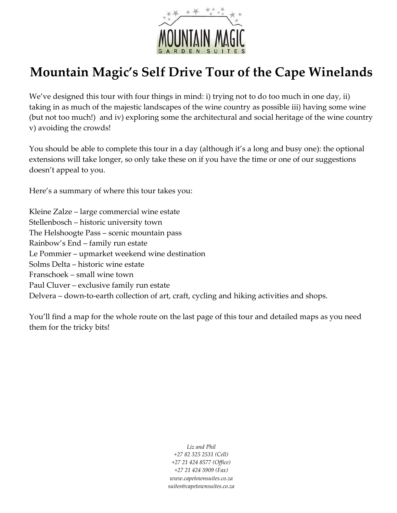

# **Mountain Magic's Self Drive Tour of the Cape Winelands**

We've designed this tour with four things in mind: i) trying not to do too much in one day, ii) taking in as much of the majestic landscapes of the wine country as possible iii) having some wine (but not too much!) and iv) exploring some the architectural and social heritage of the wine country v) avoiding the crowds!

You should be able to complete this tour in a day (although it's a long and busy one): the optional extensions will take longer, so only take these on if you have the time or one of our suggestions doesn't appeal to you.

Here's a summary of where this tour takes you:

Kleine Zalze – large commercial wine estate Stellenbosch – historic university town The Helshoogte Pass – scenic mountain pass Rainbow's End – family run estate Le Pommier – upmarket weekend wine destination Solms Delta – historic wine estate Franschoek – small wine town Paul Cluver – exclusive family run estate Delvera – down-to-earth collection of art, craft, cycling and hiking activities and shops.

You'll find a map for the whole route on the last page of this tour and detailed maps as you need them for the tricky bits!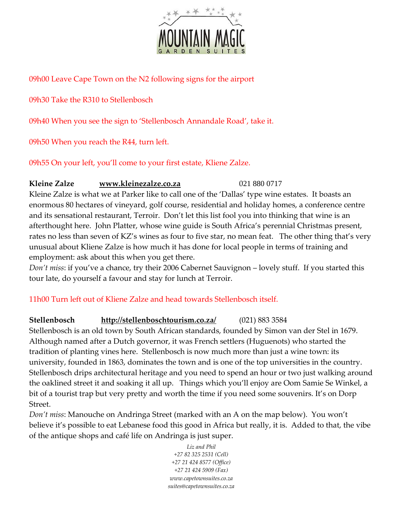

09h00 Leave Cape Town on the N2 following signs for the airport

09h30 Take the R310 to Stellenbosch

09h40 When you see the sign to 'Stellenbosch Annandale Road', take it.

09h50 When you reach the R44, turn left.

09h55 On your left, you'll come to your first estate, Kliene Zalze.

### **Kleine Zalze [www.kleinezalze.co.za](http://www.kleinezalze.co.za/)** 021 880 0717

Kleine Zalze is what we at Parker like to call one of the 'Dallas' type wine estates. It boasts an enormous 80 hectares of vineyard, golf course, residential and holiday homes, a conference centre and its sensational restaurant, Terroir. Don't let this list fool you into thinking that wine is an afterthought here. John Platter, whose wine guide is South Africa's perennial Christmas present, rates no less than seven of KZ's wines as four to five star, no mean feat. The other thing that's very unusual about Kliene Zalze is how much it has done for local people in terms of training and employment: ask about this when you get there.

*Don't miss*: if you've a chance, try their 2006 Cabernet Sauvignon – lovely stuff. If you started this tour late, do yourself a favour and stay for lunch at Terroir.

## 11h00 Turn left out of Kliene Zalze and head towards Stellenbosch itself.

# **Stellenbosch <http://stellenboschtourism.co.za/>**(021) 883 3584

Stellenbosch is an old town by South African standards, founded by Simon van der Stel in 1679. Although named after a Dutch governor, it was French settlers (Huguenots) who started the tradition of planting vines here. Stellenbosch is now much more than just a wine town: its university, founded in 1863, dominates the town and is one of the top universities in the country. Stellenbosch drips architectural heritage and you need to spend an hour or two just walking around the oaklined street it and soaking it all up. Things which you'll enjoy are Oom Samie Se Winkel, a bit of a tourist trap but very pretty and worth the time if you need some souvenirs. It's on Dorp Street.

*Don't miss*: Manouche on Andringa Street (marked with an A on the map below). You won't believe it's possible to eat Lebanese food this good in Africa but really, it is. Added to that, the vibe of the antique shops and café life on Andringa is just super.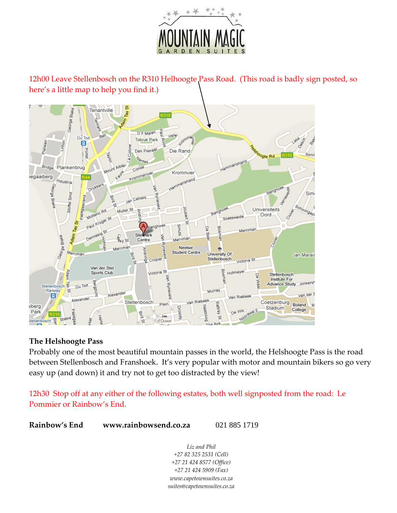

12h00 Leave Stellenbosch on the R310 Helhoogte Pass Road. (This road is badly sign posted, so here's a little map to help you find it.)



#### **The Helshoogte Pass**

Probably one of the most beautiful mountain passes in the world, the Helshoogte Pass is the road between Stellenbosch and Franshoek. It's very popular with motor and mountain bikers so go very easy up (and down) it and try not to get too distracted by the view!

12h30 Stop off at any either of the following estates, both well signposted from the road: Le Pommier or Rainbow's End.

**Rainbow's End www.rainbowsend.co.za** 021 885 1719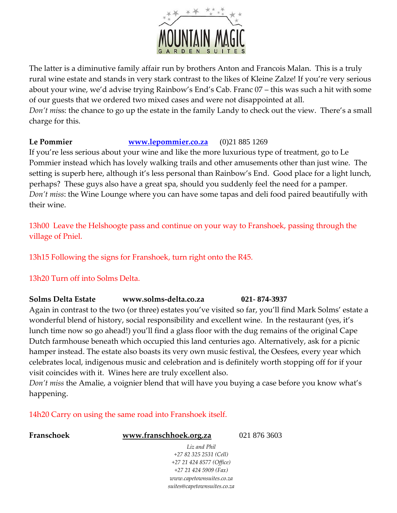

The latter is a diminutive family affair run by brothers Anton and Francois Malan. This is a truly rural wine estate and stands in very stark contrast to the likes of Kleine Zalze! If you're very serious about your wine, we'd advise trying Rainbow's End's Cab. Franc 07 – this was such a hit with some of our guests that we ordered two mixed cases and were not disappointed at all. *Don't mi*ss: the chance to go up the estate in the family Landy to check out the view. There's a small charge for this.

#### **Le Pommier [www.lepommier.co.za](http://www.lepommier.co.za/)** (0)21 885 1269

If you're less serious about your wine and like the more luxurious type of treatment, go to Le Pommier instead which has lovely walking trails and other amusements other than just wine. The setting is superb here, although it's less personal than Rainbow's End. Good place for a light lunch, perhaps? These guys also have a great spa, should you suddenly feel the need for a pamper. *Don't miss*: the Wine Lounge where you can have some tapas and deli food paired beautifully with their wine.

13h00 Leave the Helshoogte pass and continue on your way to Franshoek, passing through the village of Pniel.

13h15 Following the signs for Franshoek, turn right onto the R45.

13h20 Turn off into Solms Delta.

### **Solms Delta Estate www.solms-delta.co.za 021- 874-3937**

Again in contrast to the two (or three) estates you've visited so far, you'll find Mark Solms' estate a wonderful blend of history, social responsibility and excellent wine. In the restaurant (yes, it's lunch time now so go ahead!) you'll find a glass floor with the dug remains of the original Cape Dutch farmhouse beneath which occupied this land centuries ago. Alternatively, ask for a picnic hamper instead. The estate also boasts its very own music festival, the Oesfees, every year which celebrates local, indigenous music and celebration and is definitely worth stopping off for if your visit coincides with it. Wines here are truly excellent also.

*Don't miss* the Amalie, a voignier blend that will have you buying a case before you know what's happening.

> *www.capetownsuites.co.za suites@capetownsuites.co.za*

14h20 Carry on using the same road into Franshoek itself.

| Franschoek | www.franschhoek.org.za   | 021 876 3603 |
|------------|--------------------------|--------------|
|            | Liz and Phil             |              |
|            | +27 82 325 2531 (Cell)   |              |
|            | +27 21 424 8577 (Office) |              |
|            | $+27$ 21 424 5909 (Fax)  |              |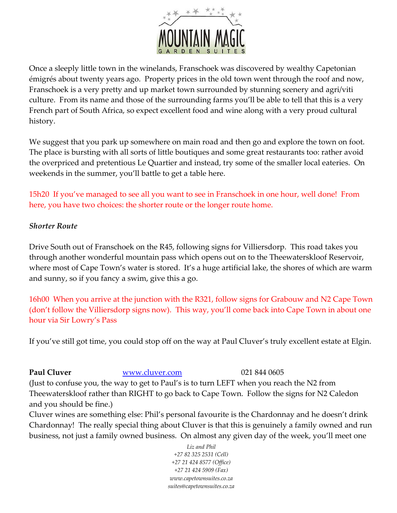

Once a sleeply little town in the winelands, Franschoek was discovered by wealthy Capetonian émigrés about twenty years ago. Property prices in the old town went through the roof and now, Franschoek is a very pretty and up market town surrounded by stunning scenery and agri/viti culture. From its name and those of the surrounding farms you'll be able to tell that this is a very French part of South Africa, so expect excellent food and wine along with a very proud cultural history.

We suggest that you park up somewhere on main road and then go and explore the town on foot. The place is bursting with all sorts of little boutiques and some great restaurants too: rather avoid the overpriced and pretentious Le Quartier and instead, try some of the smaller local eateries. On weekends in the summer, you'll battle to get a table here.

15h20 If you've managed to see all you want to see in Franschoek in one hour, well done! From here, you have two choices: the shorter route or the longer route home.

#### *Shorter Route*

Drive South out of Franschoek on the R45, following signs for Villiersdorp. This road takes you through another wonderful mountain pass which opens out on to the Theewaterskloof Reservoir, where most of Cape Town's water is stored. It's a huge artificial lake, the shores of which are warm and sunny, so if you fancy a swim, give this a go.

16h00 When you arrive at the junction with the R321, follow signs for Grabouw and N2 Cape Town (don't follow the Villiersdorp signs now). This way, you'll come back into Cape Town in about one hour via Sir Lowry's Pass

If you've still got time, you could stop off on the way at Paul Cluver's truly excellent estate at Elgin.

**Paul Cluver** [www.cluver.com](http://www.cluver.com/) 021 844 0605

(Just to confuse you, the way to get to Paul's is to turn LEFT when you reach the N2 from Theewaterskloof rather than RIGHT to go back to Cape Town. Follow the signs for N2 Caledon and you should be fine.)

Cluver wines are something else: Phil's personal favourite is the Chardonnay and he doesn't drink Chardonnay! The really special thing about Cluver is that this is genuinely a family owned and run business, not just a family owned business. On almost any given day of the week, you'll meet one